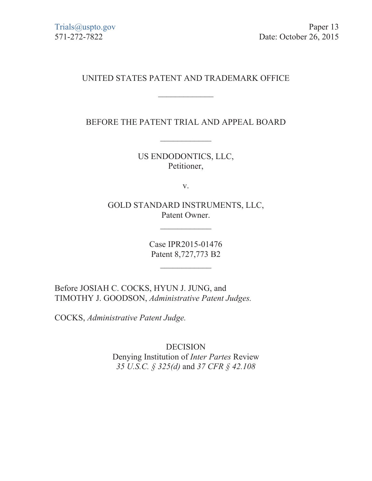# UNITED STATES PATENT AND TRADEMARK OFFICE

 $\frac{1}{2}$ 

BEFORE THE PATENT TRIAL AND APPEAL BOARD

 $\frac{1}{2}$ 

US ENDODONTICS, LLC, Petitioner,

v.

GOLD STANDARD INSTRUMENTS, LLC, Patent Owner.

 $\frac{1}{2}$ 

Case IPR2015-01476 Patent 8,727,773 B2

 $\frac{1}{2}$ 

Before JOSIAH C. COCKS, HYUN J. JUNG, and TIMOTHY J. GOODSON, *Administrative Patent Judges.* 

COCKS, *Administrative Patent Judge.* 

DECISION Denying Institution of *Inter Partes* Review *35 U.S.C. § 325(d)* and *37 CFR § 42.108*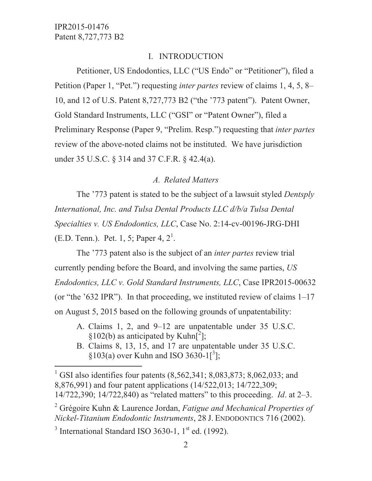## I. INTRODUCTION

 Petitioner, US Endodontics, LLC ("US Endo" or "Petitioner"), filed a Petition (Paper 1, "Pet.") requesting *inter partes* review of claims 1, 4, 5, 8– 10, and 12 of U.S. Patent 8,727,773 B2 ("the '773 patent"). Patent Owner, Gold Standard Instruments, LLC ("GSI" or "Patent Owner"), filed a Preliminary Response (Paper 9, "Prelim. Resp.") requesting that *inter partes* review of the above-noted claims not be instituted. We have jurisdiction under 35 U.S.C. § 314 and 37 C.F.R. § 42.4(a).

## *A. Related Matters*

 The '773 patent is stated to be the subject of a lawsuit styled *Dentsply International, Inc. and Tulsa Dental Products LLC d/b/a Tulsa Dental Specialties v. US Endodontics, LLC*, Case No. 2:14-cv-00196-JRG-DHI (E.D. Tenn.). Pet. 1, 5; Paper 4,  $2^1$ .

 The '773 patent also is the subject of an *inter partes* review trial currently pending before the Board, and involving the same parties, *US Endodontics, LLC v. Gold Standard Instruments, LLC*, Case IPR2015-00632 (or "the '632 IPR"). In that proceeding, we instituted review of claims 1–17 on August 5, 2015 based on the following grounds of unpatentability:

- A. Claims 1, 2, and 9–12 are unpatentable under 35 U.S.C. §102(b) as anticipated by Kuhn $[^2]$ ;
- B. Claims 8, 13, 15, and 17 are unpatentable under 35 U.S.C.  $\S 103(a)$  over Kuhn and ISO 3630-1[<sup>3</sup>];

<sup>3</sup> International Standard ISO 3630-1,  $1<sup>st</sup>$  ed. (1992).

 $\overline{a}$ 

<sup>&</sup>lt;sup>1</sup> GSI also identifies four patents (8,562,341; 8,083,873; 8,062,033; and 8,876,991) and four patent applications (14/522,013; 14/722,309; 14/722,390; 14/722,840) as "related matters" to this proceeding. *Id*. at 2–3.

<sup>2</sup> Grégoire Kuhn & Laurence Jordan, *Fatigue and Mechanical Properties of Nickel-Titanium Endodontic Instruments*, 28 J. ENDODONTICS 716 (2002).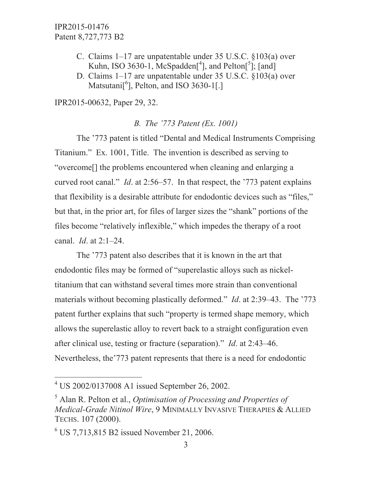- C. Claims 1–17 are unpatentable under 35 U.S.C. §103(a) over Kuhn, ISO 3630-1,  $McSpadden[^{4}]$ , and  $Pelton[^{5}]$ ; [and]
- D. Claims 1–17 are unpatentable under 35 U.S.C. §103(a) over Matsutani[<sup>6</sup>], Pelton, and ISO 3630-1[.]

IPR2015-00632, Paper 29, 32.

## *B. The '773 Patent (Ex. 1001)*

 The '773 patent is titled "Dental and Medical Instruments Comprising Titanium." Ex. 1001, Title. The invention is described as serving to "overcome[] the problems encountered when cleaning and enlarging a curved root canal." *Id*. at 2:56–57. In that respect, the '773 patent explains that flexibility is a desirable attribute for endodontic devices such as "files," but that, in the prior art, for files of larger sizes the "shank" portions of the files become "relatively inflexible," which impedes the therapy of a root canal. *Id*. at 2:1–24.

 The '773 patent also describes that it is known in the art that endodontic files may be formed of "superelastic alloys such as nickeltitanium that can withstand several times more strain than conventional materials without becoming plastically deformed." *Id*. at 2:39–43. The '773 patent further explains that such "property is termed shape memory, which allows the superelastic alloy to revert back to a straight configuration even after clinical use, testing or fracture (separation)." *Id*. at 2:43–46. Nevertheless, the'773 patent represents that there is a need for endodontic

 $\overline{a}$ 

<sup>4</sup> US 2002/0137008 A1 issued September 26, 2002.

<sup>5</sup> Alan R. Pelton et al., *Optimisation of Processing and Properties of Medical-Grade Nitinol Wire*, 9 MINIMALLY INVASIVE THERAPIES & ALLIED TECHS. 107 (2000).

<sup>6</sup> US 7,713,815 B2 issued November 21, 2006.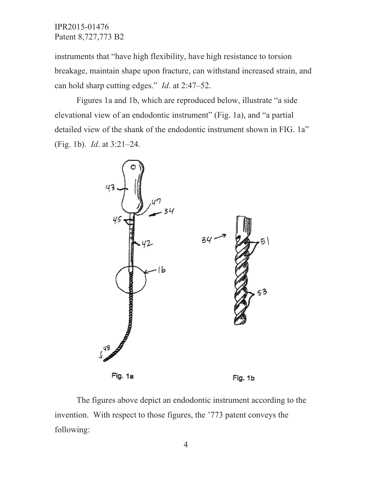instruments that "have high flexibility, have high resistance to torsion breakage, maintain shape upon fracture, can withstand increased strain, and can hold sharp cutting edges." *Id*. at 2:47–52.

 Figures 1a and 1b, which are reproduced below, illustrate "a side elevational view of an endodontic instrument" (Fig. 1a), and "a partial detailed view of the shank of the endodontic instrument shown in FIG. 1a" (Fig. 1b). *Id*. at 3:21–24.



 The figures above depict an endodontic instrument according to the invention. With respect to those figures, the '773 patent conveys the following:

4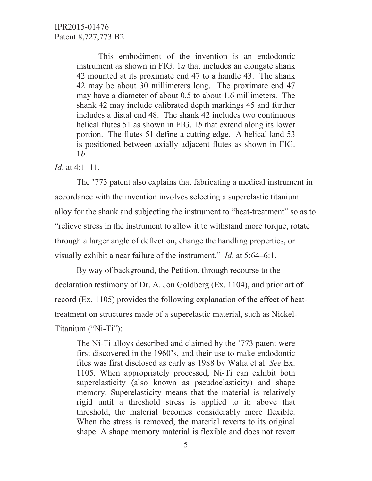This embodiment of the invention is an endodontic instrument as shown in FIG. 1*a* that includes an elongate shank 42 mounted at its proximate end 47 to a handle 43. The shank 42 may be about 30 millimeters long. The proximate end 47 may have a diameter of about 0.5 to about 1.6 millimeters. The shank 42 may include calibrated depth markings 45 and further includes a distal end 48. The shank 42 includes two continuous helical flutes 51 as shown in FIG. 1*b* that extend along its lower portion. The flutes 51 define a cutting edge. A helical land 53 is positioned between axially adjacent flutes as shown in FIG. 1*b*.

### *Id*. at 4:1–11.

 The '773 patent also explains that fabricating a medical instrument in accordance with the invention involves selecting a superelastic titanium alloy for the shank and subjecting the instrument to "heat-treatment" so as to "relieve stress in the instrument to allow it to withstand more torque, rotate through a larger angle of deflection, change the handling properties, or visually exhibit a near failure of the instrument." *Id*. at 5:64–6:1.

 By way of background, the Petition, through recourse to the declaration testimony of Dr. A. Jon Goldberg (Ex. 1104), and prior art of record (Ex. 1105) provides the following explanation of the effect of heattreatment on structures made of a superelastic material, such as Nickel-Titanium ("Ni-Ti"):

The Ni-Ti alloys described and claimed by the '773 patent were first discovered in the 1960's, and their use to make endodontic files was first disclosed as early as 1988 by Walia et al. *See* Ex. 1105. When appropriately processed, Ni-Ti can exhibit both superelasticity (also known as pseudoelasticity) and shape memory. Superelasticity means that the material is relatively rigid until a threshold stress is applied to it; above that threshold, the material becomes considerably more flexible. When the stress is removed, the material reverts to its original shape. A shape memory material is flexible and does not revert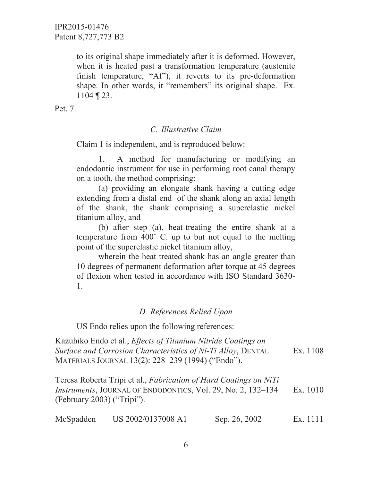to its original shape immediately after it is deformed. However, when it is heated past a transformation temperature (austenite finish temperature, "Af"), it reverts to its pre-deformation shape. In other words, it "remembers" its original shape. Ex. 1104 ¶ 23.

Pet. 7.

## *C. Illustrative Claim*

Claim 1 is independent, and is reproduced below:

 1. A method for manufacturing or modifying an endodontic instrument for use in performing root canal therapy on a tooth, the method comprising:

 (a) providing an elongate shank having a cutting edge extending from a distal end of the shank along an axial length of the shank, the shank comprising a superelastic nickel titanium alloy, and

 (b) after step (a), heat-treating the entire shank at a temperature from 400˚ C. up to but not equal to the melting point of the superelastic nickel titanium alloy,

 wherein the heat treated shank has an angle greater than 10 degrees of permanent deformation after torque at 45 degrees of flexion when tested in accordance with ISO Standard 3630- 1.

## *D. References Relied Upon*

US Endo relies upon the following references:

Kazuhiko Endo et al., *Effects of Titanium Nitride Coatings on Surface and Corrosion Characteristics of Ni-Ti Alloy*, DENTAL MATERIALS JOURNAL 13(2): 228–239 (1994) ("Endo"). Ex. 1108

Teresa Roberta Tripi et al., *Fabrication of Hard Coatings on NiTi Instruments*, JOURNAL OF ENDODONTICS, Vol. 29, No. 2, 132–134 (February 2003) ("Tripi"). Ex. 1010

| McSpadden | US 2002/0137008 A1 | Sep. 26, 2002 | Ex. 1111 |
|-----------|--------------------|---------------|----------|
|-----------|--------------------|---------------|----------|

6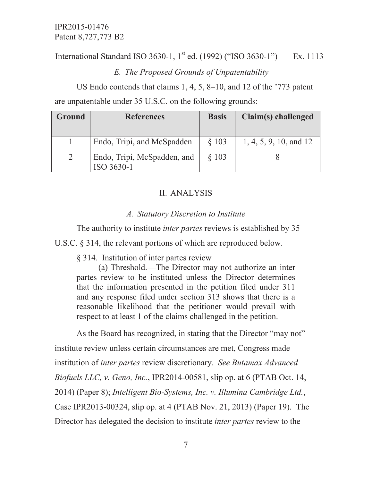International Standard ISO 3630-1, 1<sup>st</sup> ed. (1992) ("ISO 3630-1") Ex. 1113

# *E. The Proposed Grounds of Unpatentability*

 US Endo contends that claims 1, 4, 5, 8–10, and 12 of the '773 patent are unpatentable under 35 U.S.C. on the following grounds:

| <b>Ground</b> | <b>References</b>                         | <b>Basis</b> | Claim(s) challenged    |
|---------------|-------------------------------------------|--------------|------------------------|
|               | Endo, Tripi, and McSpadden                | $§$ 103      | 1, 4, 5, 9, 10, and 12 |
|               | Endo, Tripi, McSpadden, and<br>ISO 3630-1 | $§$ 103      |                        |

# II. ANALYSIS

## *A. Statutory Discretion to Institute*

The authority to institute *inter partes* reviews is established by 35

U.S.C. § 314, the relevant portions of which are reproduced below.

§ 314. Institution of inter partes review

 (a) Threshold.—The Director may not authorize an inter partes review to be instituted unless the Director determines that the information presented in the petition filed under 311 and any response filed under section 313 shows that there is a reasonable likelihood that the petitioner would prevail with respect to at least 1 of the claims challenged in the petition.

 As the Board has recognized, in stating that the Director "may not" institute review unless certain circumstances are met, Congress made institution of *inter partes* review discretionary. *See Butamax Advanced Biofuels LLC, v. Geno, Inc.*, IPR2014-00581, slip op. at 6 (PTAB Oct. 14, 2014) (Paper 8); *Intelligent Bio-Systems, Inc. v. Illumina Cambridge Ltd.*, Case IPR2013-00324, slip op. at 4 (PTAB Nov. 21, 2013) (Paper 19). The Director has delegated the decision to institute *inter partes* review to the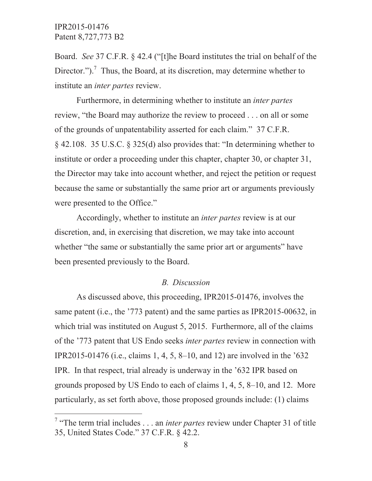$\overline{a}$ 

Board. *See* 37 C.F.R. § 42.4 ("[t]he Board institutes the trial on behalf of the Director.").<sup>7</sup> Thus, the Board, at its discretion, may determine whether to institute an *inter partes* review.

 Furthermore, in determining whether to institute an *inter partes* review, "the Board may authorize the review to proceed . . . on all or some of the grounds of unpatentability asserted for each claim." 37 C.F.R. § 42.108. 35 U.S.C. § 325(d) also provides that: "In determining whether to institute or order a proceeding under this chapter, chapter 30, or chapter 31, the Director may take into account whether, and reject the petition or request because the same or substantially the same prior art or arguments previously were presented to the Office."

 Accordingly, whether to institute an *inter partes* review is at our discretion, and, in exercising that discretion, we may take into account whether "the same or substantially the same prior art or arguments" have been presented previously to the Board.

#### *B. Discussion*

 As discussed above, this proceeding, IPR2015-01476, involves the same patent (i.e., the '773 patent) and the same parties as IPR2015-00632, in which trial was instituted on August 5, 2015. Furthermore, all of the claims of the '773 patent that US Endo seeks *inter partes* review in connection with IPR2015-01476 (i.e., claims 1, 4, 5, 8–10, and 12) are involved in the '632 IPR. In that respect, trial already is underway in the '632 IPR based on grounds proposed by US Endo to each of claims 1, 4, 5, 8–10, and 12. More particularly, as set forth above, those proposed grounds include: (1) claims

<sup>&</sup>lt;sup>7</sup> "The term trial includes . . . an *inter partes* review under Chapter 31 of title 35, United States Code." 37 C.F.R. § 42.2.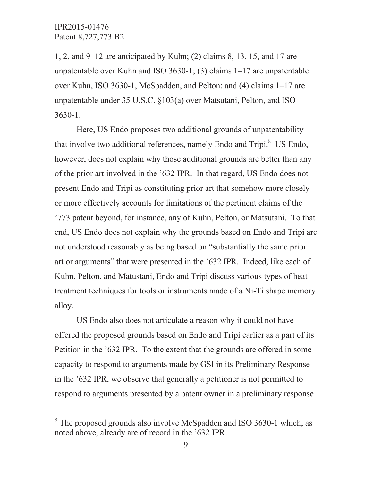$\overline{a}$ 

1, 2, and 9–12 are anticipated by Kuhn; (2) claims 8, 13, 15, and 17 are unpatentable over Kuhn and ISO 3630-1; (3) claims  $1-17$  are unpatentable over Kuhn, ISO 3630-1, McSpadden, and Pelton; and (4) claims 1–17 are unpatentable under 35 U.S.C. §103(a) over Matsutani, Pelton, and ISO 3630-1.

 Here, US Endo proposes two additional grounds of unpatentability that involve two additional references, namely Endo and Tripi.<sup>8</sup> US Endo, however, does not explain why those additional grounds are better than any of the prior art involved in the '632 IPR. In that regard, US Endo does not present Endo and Tripi as constituting prior art that somehow more closely or more effectively accounts for limitations of the pertinent claims of the '773 patent beyond, for instance, any of Kuhn, Pelton, or Matsutani. To that end, US Endo does not explain why the grounds based on Endo and Tripi are not understood reasonably as being based on "substantially the same prior art or arguments" that were presented in the '632 IPR. Indeed, like each of Kuhn, Pelton, and Matustani, Endo and Tripi discuss various types of heat treatment techniques for tools or instruments made of a Ni-Ti shape memory alloy.

 US Endo also does not articulate a reason why it could not have offered the proposed grounds based on Endo and Tripi earlier as a part of its Petition in the '632 IPR. To the extent that the grounds are offered in some capacity to respond to arguments made by GSI in its Preliminary Response in the '632 IPR, we observe that generally a petitioner is not permitted to respond to arguments presented by a patent owner in a preliminary response

<sup>&</sup>lt;sup>8</sup> The proposed grounds also involve McSpadden and ISO 3630-1 which, as noted above, already are of record in the '632 IPR.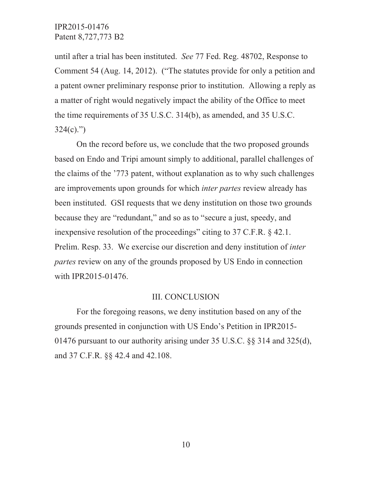until after a trial has been instituted. *See* 77 Fed. Reg. 48702, Response to Comment 54 (Aug. 14, 2012). ("The statutes provide for only a petition and a patent owner preliminary response prior to institution. Allowing a reply as a matter of right would negatively impact the ability of the Office to meet the time requirements of 35 U.S.C. 314(b), as amended, and 35 U.S.C.  $324(c)$ .")

 On the record before us, we conclude that the two proposed grounds based on Endo and Tripi amount simply to additional, parallel challenges of the claims of the '773 patent, without explanation as to why such challenges are improvements upon grounds for which *inter partes* review already has been instituted. GSI requests that we deny institution on those two grounds because they are "redundant," and so as to "secure a just, speedy, and inexpensive resolution of the proceedings" citing to 37 C.F.R. § 42.1. Prelim. Resp. 33. We exercise our discretion and deny institution of *inter partes* review on any of the grounds proposed by US Endo in connection with IPR2015-01476.

#### III. CONCLUSION

 For the foregoing reasons, we deny institution based on any of the grounds presented in conjunction with US Endo's Petition in IPR2015- 01476 pursuant to our authority arising under 35 U.S.C. §§ 314 and 325(d), and 37 C.F.R. §§ 42.4 and 42.108.